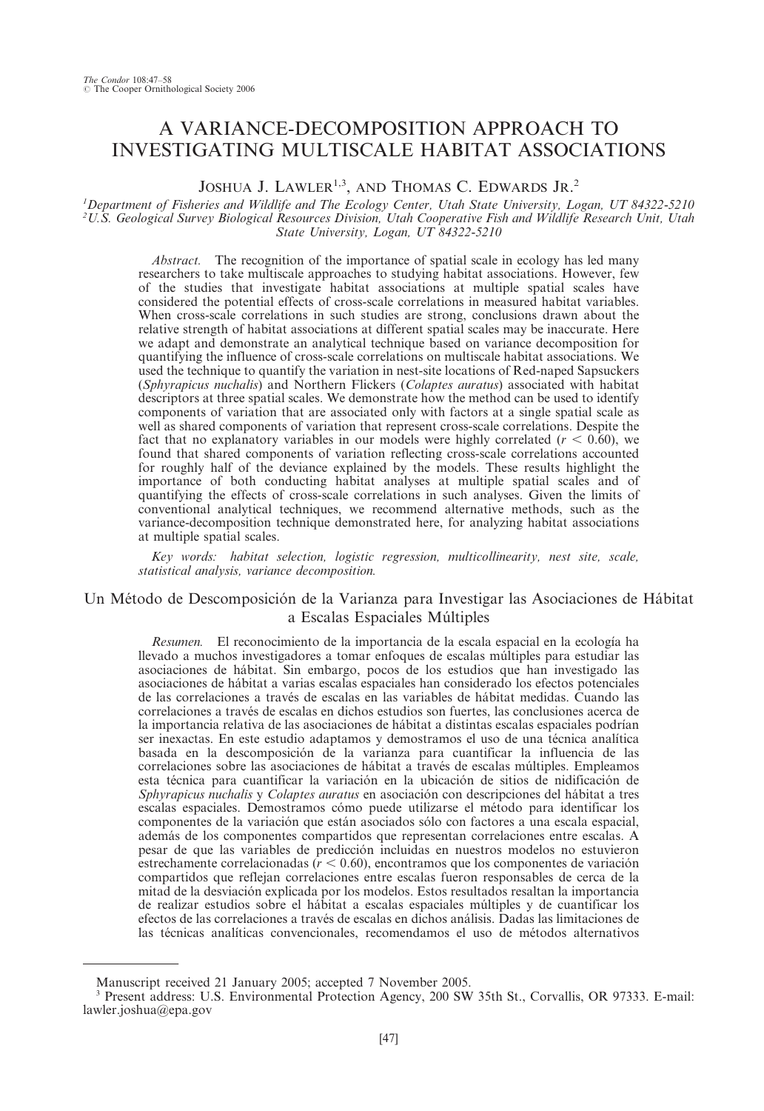# A VARIANCE-DECOMPOSITION APPROACH TO INVESTIGATING MULTISCALE HABITAT ASSOCIATIONS

JOSHUA J. LAWLER<sup>1,3</sup>, AND THOMAS C. EDWARDS JR.<sup>2</sup>

#### 1 Department of Fisheries and Wildlife and The Ecology Center, Utah State University, Logan, UT 84322-5210 2 U.S. Geological Survey Biological Resources Division, Utah Cooperative Fish and Wildlife Research Unit, Utah State University, Logan, UT 84322-5210

Abstract. The recognition of the importance of spatial scale in ecology has led many researchers to take multiscale approaches to studying habitat associations. However, few of the studies that investigate habitat associations at multiple spatial scales have considered the potential effects of cross-scale correlations in measured habitat variables. When cross-scale correlations in such studies are strong, conclusions drawn about the relative strength of habitat associations at different spatial scales may be inaccurate. Here we adapt and demonstrate an analytical technique based on variance decomposition for quantifying the influence of cross-scale correlations on multiscale habitat associations. We used the technique to quantify the variation in nest-site locations of Red-naped Sapsuckers (Sphyrapicus nuchalis) and Northern Flickers (Colaptes auratus) associated with habitat descriptors at three spatial scales. We demonstrate how the method can be used to identify components of variation that are associated only with factors at a single spatial scale as well as shared components of variation that represent cross-scale correlations. Despite the fact that no explanatory variables in our models were highly correlated ( $r < 0.60$ ), we found that shared components of variation reflecting cross-scale correlations accounted for roughly half of the deviance explained by the models. These results highlight the importance of both conducting habitat analyses at multiple spatial scales and of quantifying the effects of cross-scale correlations in such analyses. Given the limits of conventional analytical techniques, we recommend alternative methods, such as the variance-decomposition technique demonstrated here, for analyzing habitat associations at multiple spatial scales.

Key words: habitat selection, logistic regression, multicollinearity, nest site, scale, statistical analysis, variance decomposition.

# Un Método de Descomposición de la Varianza para Investigar las Asociaciones de Hábitat a Escalas Espaciales Múltiples

Resumen. El reconocimiento de la importancia de la escala espacial en la ecología ha llevado a muchos investigadores a tomar enfoques de escalas múltiples para estudiar las asociaciones de ha´bitat. Sin embargo, pocos de los estudios que han investigado las asociaciones de ha´bitat a varias escalas espaciales han considerado los efectos potenciales de las correlaciones a través de escalas en las variables de hábitat medidas. Cuando las correlaciones a través de escalas en dichos estudios son fuertes, las conclusiones acerca de la importancia relativa de las asociaciones de hábitat a distintas escalas espaciales podrían ser inexactas. En este estudio adaptamos y demostramos el uso de una técnica analítica basada en la descomposición de la varianza para cuantificar la influencia de las correlaciones sobre las asociaciones de hábitat a través de escalas múltiples. Empleamos esta técnica para cuantificar la variación en la ubicación de sitios de nidificación de Sphyrapicus nuchalis y Colaptes auratus en asociación con descripciones del hábitat a tres escalas espaciales. Demostramos cómo puede utilizarse el método para identificar los componentes de la variación que están asociados sólo con factores a una escala espacial, además de los componentes compartidos que representan correlaciones entre escalas. A pesar de que las variables de predicción incluidas en nuestros modelos no estuvieron estrechamente correlacionadas ( $r < 0.60$ ), encontramos que los componentes de variación compartidos que reflejan correlaciones entre escalas fueron responsables de cerca de la mitad de la desviacio´n explicada por los modelos. Estos resultados resaltan la importancia de realizar estudios sobre el ha´bitat a escalas espaciales mu´ltiples y de cuantificar los efectos de las correlaciones a través de escalas en dichos análisis. Dadas las limitaciones de las técnicas analíticas convencionales, recomendamos el uso de métodos alternativos

Manuscript received 21 January 2005; accepted 7 November 2005.

<sup>&</sup>lt;sup>3</sup> Present address: U.S. Environmental Protection Agency, 200 SW 35th St., Corvallis, OR 97333. E-mail: lawler.joshua@epa.gov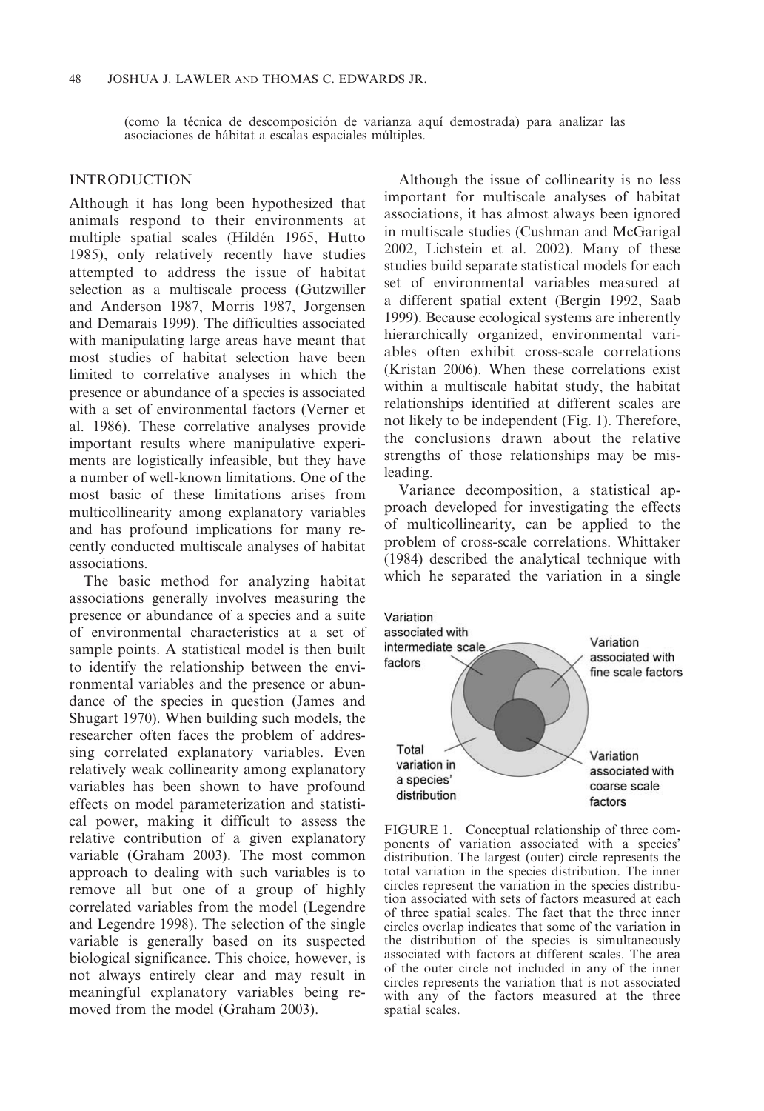(como la técnica de descomposición de varianza aquí demostrada) para analizar las asociaciones de hábitat a escalas espaciales múltiples.

# INTRODUCTION

Although it has long been hypothesized that animals respond to their environments at multiple spatial scales (Hildén 1965, Hutto 1985), only relatively recently have studies attempted to address the issue of habitat selection as a multiscale process (Gutzwiller and Anderson 1987, Morris 1987, Jorgensen and Demarais 1999). The difficulties associated with manipulating large areas have meant that most studies of habitat selection have been limited to correlative analyses in which the presence or abundance of a species is associated with a set of environmental factors (Verner et al. 1986). These correlative analyses provide important results where manipulative experiments are logistically infeasible, but they have a number of well-known limitations. One of the most basic of these limitations arises from multicollinearity among explanatory variables and has profound implications for many recently conducted multiscale analyses of habitat associations.

The basic method for analyzing habitat associations generally involves measuring the presence or abundance of a species and a suite of environmental characteristics at a set of sample points. A statistical model is then built to identify the relationship between the environmental variables and the presence or abundance of the species in question (James and Shugart 1970). When building such models, the researcher often faces the problem of addressing correlated explanatory variables. Even relatively weak collinearity among explanatory variables has been shown to have profound effects on model parameterization and statistical power, making it difficult to assess the relative contribution of a given explanatory variable (Graham 2003). The most common approach to dealing with such variables is to remove all but one of a group of highly correlated variables from the model (Legendre and Legendre 1998). The selection of the single variable is generally based on its suspected biological significance. This choice, however, is not always entirely clear and may result in meaningful explanatory variables being removed from the model (Graham 2003).

Although the issue of collinearity is no less important for multiscale analyses of habitat associations, it has almost always been ignored in multiscale studies (Cushman and McGarigal 2002, Lichstein et al. 2002). Many of these studies build separate statistical models for each set of environmental variables measured at a different spatial extent (Bergin 1992, Saab 1999). Because ecological systems are inherently hierarchically organized, environmental variables often exhibit cross-scale correlations (Kristan 2006). When these correlations exist within a multiscale habitat study, the habitat relationships identified at different scales are not likely to be independent (Fig. 1). Therefore, the conclusions drawn about the relative strengths of those relationships may be misleading.

Variance decomposition, a statistical approach developed for investigating the effects of multicollinearity, can be applied to the problem of cross-scale correlations. Whittaker (1984) described the analytical technique with which he separated the variation in a single



FIGURE 1. Conceptual relationship of three components of variation associated with a species' distribution. The largest (outer) circle represents the total variation in the species distribution. The inner circles represent the variation in the species distribution associated with sets of factors measured at each of three spatial scales. The fact that the three inner circles overlap indicates that some of the variation in the distribution of the species is simultaneously associated with factors at different scales. The area of the outer circle not included in any of the inner circles represents the variation that is not associated with any of the factors measured at the three spatial scales.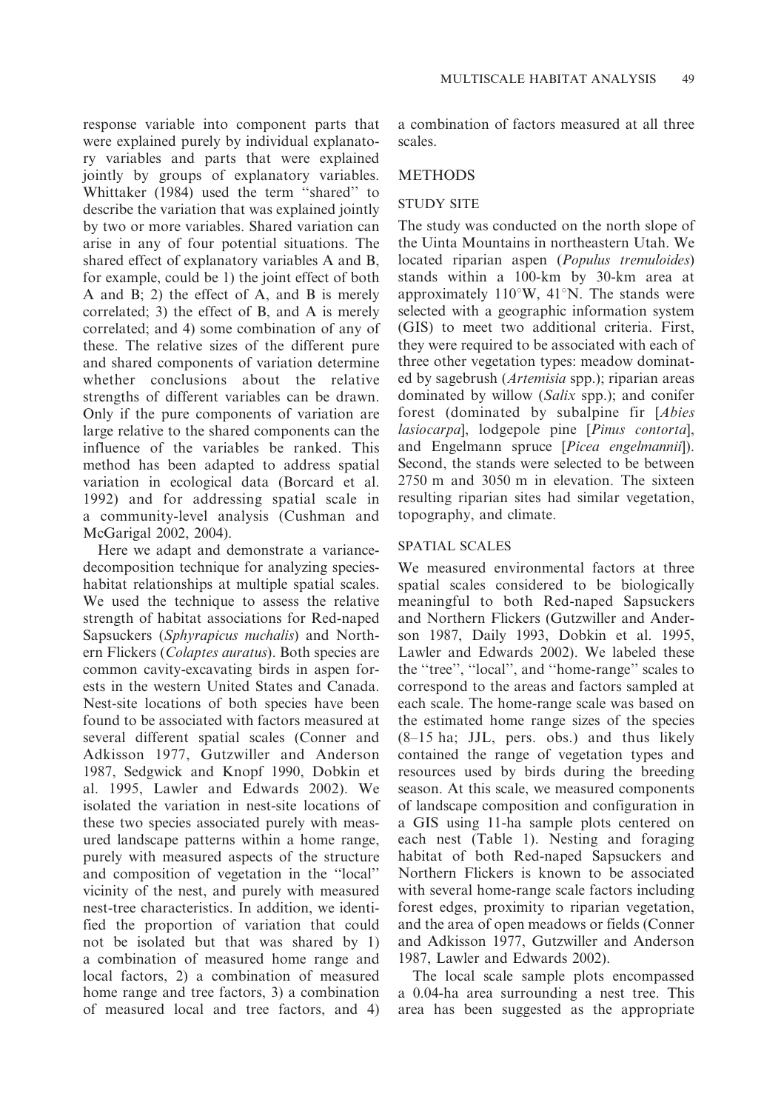response variable into component parts that were explained purely by individual explanatory variables and parts that were explained jointly by groups of explanatory variables. Whittaker (1984) used the term ''shared'' to describe the variation that was explained jointly by two or more variables. Shared variation can arise in any of four potential situations. The shared effect of explanatory variables A and B, for example, could be 1) the joint effect of both A and B; 2) the effect of A, and B is merely correlated; 3) the effect of B, and A is merely correlated; and 4) some combination of any of these. The relative sizes of the different pure and shared components of variation determine whether conclusions about the relative strengths of different variables can be drawn. Only if the pure components of variation are large relative to the shared components can the influence of the variables be ranked. This method has been adapted to address spatial variation in ecological data (Borcard et al. 1992) and for addressing spatial scale in a community-level analysis (Cushman and McGarigal 2002, 2004).

Here we adapt and demonstrate a variancedecomposition technique for analyzing specieshabitat relationships at multiple spatial scales. We used the technique to assess the relative strength of habitat associations for Red-naped Sapsuckers (Sphyrapicus nuchalis) and Northern Flickers (Colaptes auratus). Both species are common cavity-excavating birds in aspen forests in the western United States and Canada. Nest-site locations of both species have been found to be associated with factors measured at several different spatial scales (Conner and Adkisson 1977, Gutzwiller and Anderson 1987, Sedgwick and Knopf 1990, Dobkin et al. 1995, Lawler and Edwards 2002). We isolated the variation in nest-site locations of these two species associated purely with measured landscape patterns within a home range, purely with measured aspects of the structure and composition of vegetation in the ''local'' vicinity of the nest, and purely with measured nest-tree characteristics. In addition, we identified the proportion of variation that could not be isolated but that was shared by 1) a combination of measured home range and local factors, 2) a combination of measured home range and tree factors, 3) a combination of measured local and tree factors, and 4)

a combination of factors measured at all three scales.

## METHODS

#### STUDY SITE

The study was conducted on the north slope of the Uinta Mountains in northeastern Utah. We located riparian aspen (Populus tremuloides) stands within a 100-km by 30-km area at approximately  $110^{\circ}$ W,  $41^{\circ}$ N. The stands were selected with a geographic information system (GIS) to meet two additional criteria. First, they were required to be associated with each of three other vegetation types: meadow dominated by sagebrush (Artemisia spp.); riparian areas dominated by willow (Salix spp.); and conifer forest (dominated by subalpine fir [Abies lasiocarpa], lodgepole pine [Pinus contorta], and Engelmann spruce [Picea engelmannii]). Second, the stands were selected to be between 2750 m and 3050 m in elevation. The sixteen resulting riparian sites had similar vegetation, topography, and climate.

### SPATIAL SCALES

We measured environmental factors at three spatial scales considered to be biologically meaningful to both Red-naped Sapsuckers and Northern Flickers (Gutzwiller and Anderson 1987, Daily 1993, Dobkin et al. 1995, Lawler and Edwards 2002). We labeled these the ''tree'', ''local'', and ''home-range'' scales to correspond to the areas and factors sampled at each scale. The home-range scale was based on the estimated home range sizes of the species (8–15 ha; JJL, pers. obs.) and thus likely contained the range of vegetation types and resources used by birds during the breeding season. At this scale, we measured components of landscape composition and configuration in a GIS using 11-ha sample plots centered on each nest (Table 1). Nesting and foraging habitat of both Red-naped Sapsuckers and Northern Flickers is known to be associated with several home-range scale factors including forest edges, proximity to riparian vegetation, and the area of open meadows or fields (Conner and Adkisson 1977, Gutzwiller and Anderson 1987, Lawler and Edwards 2002).

The local scale sample plots encompassed a 0.04-ha area surrounding a nest tree. This area has been suggested as the appropriate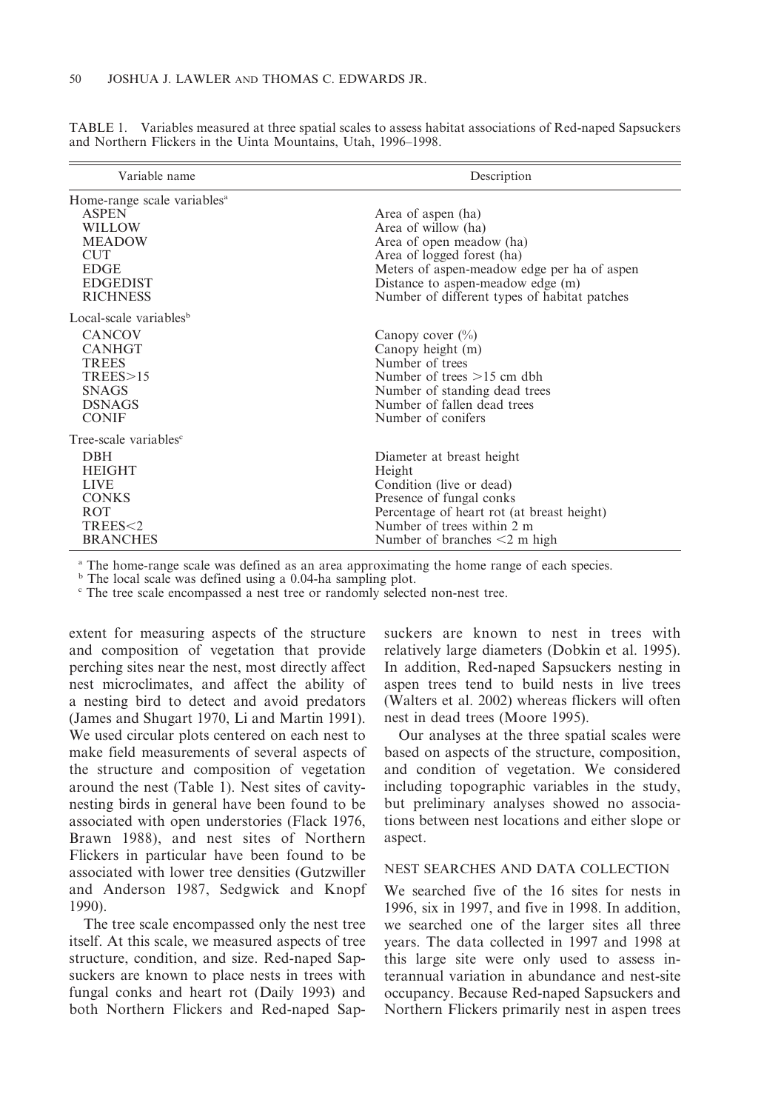| TABLE 1. Variables measured at three spatial scales to assess habitat associations of Red-naped Sapsuckers |  |  |  |  |  |  |
|------------------------------------------------------------------------------------------------------------|--|--|--|--|--|--|
| and Northern Flickers in the Uinta Mountains, Utah, 1996–1998.                                             |  |  |  |  |  |  |

| Variable name                           | Description                                  |
|-----------------------------------------|----------------------------------------------|
| Home-range scale variables <sup>a</sup> |                                              |
| <b>ASPEN</b>                            | Area of aspen (ha)                           |
| WILLOW                                  | Area of willow (ha)                          |
| <b>MEADOW</b>                           | Area of open meadow (ha)                     |
| <b>CUT</b>                              | Area of logged forest (ha)                   |
| <b>EDGE</b>                             | Meters of aspen-meadow edge per ha of aspen  |
| <b>EDGEDIST</b>                         | Distance to aspen-meadow edge (m)            |
| <b>RICHNESS</b>                         | Number of different types of habitat patches |
| Local-scale variables <sup>b</sup>      |                                              |
| <b>CANCOV</b>                           | Canopy cover $(\% )$                         |
| <b>CANHGT</b>                           | Canopy height (m)                            |
| <b>TREES</b>                            | Number of trees                              |
| TREES > 15                              | Number of trees $>15$ cm dbh                 |
| <b>SNAGS</b>                            | Number of standing dead trees                |
| <b>DSNAGS</b>                           | Number of fallen dead trees                  |
| <b>CONIF</b>                            | Number of conifers                           |
| Tree-scale variables <sup>c</sup>       |                                              |
| <b>DBH</b>                              | Diameter at breast height                    |
| <b>HEIGHT</b>                           | Height                                       |
| <b>LIVE</b>                             | Condition (live or dead)                     |
| <b>CONKS</b>                            | Presence of fungal conks                     |
| ROT                                     | Percentage of heart rot (at breast height)   |
| TREES<2                                 | Number of trees within 2 m                   |
| <b>BRANCHES</b>                         | Number of branches $\leq 2$ m high           |

<sup>a</sup> The home-range scale was defined as an area approximating the home range of each species.<br><sup>b</sup> The local scale was defined using a 0.04-ha sampling plot.

 $\epsilon$  The tree scale encompassed a nest tree or randomly selected non-nest tree.

extent for measuring aspects of the structure and composition of vegetation that provide perching sites near the nest, most directly affect nest microclimates, and affect the ability of a nesting bird to detect and avoid predators (James and Shugart 1970, Li and Martin 1991). We used circular plots centered on each nest to make field measurements of several aspects of the structure and composition of vegetation around the nest (Table 1). Nest sites of cavitynesting birds in general have been found to be associated with open understories (Flack 1976, Brawn 1988), and nest sites of Northern Flickers in particular have been found to be associated with lower tree densities (Gutzwiller and Anderson 1987, Sedgwick and Knopf 1990).

The tree scale encompassed only the nest tree itself. At this scale, we measured aspects of tree structure, condition, and size. Red-naped Sapsuckers are known to place nests in trees with fungal conks and heart rot (Daily 1993) and both Northern Flickers and Red-naped Sapsuckers are known to nest in trees with relatively large diameters (Dobkin et al. 1995). In addition, Red-naped Sapsuckers nesting in aspen trees tend to build nests in live trees (Walters et al. 2002) whereas flickers will often nest in dead trees (Moore 1995).

Our analyses at the three spatial scales were based on aspects of the structure, composition, and condition of vegetation. We considered including topographic variables in the study, but preliminary analyses showed no associations between nest locations and either slope or aspect.

#### NEST SEARCHES AND DATA COLLECTION

We searched five of the 16 sites for nests in 1996, six in 1997, and five in 1998. In addition, we searched one of the larger sites all three years. The data collected in 1997 and 1998 at this large site were only used to assess interannual variation in abundance and nest-site occupancy. Because Red-naped Sapsuckers and Northern Flickers primarily nest in aspen trees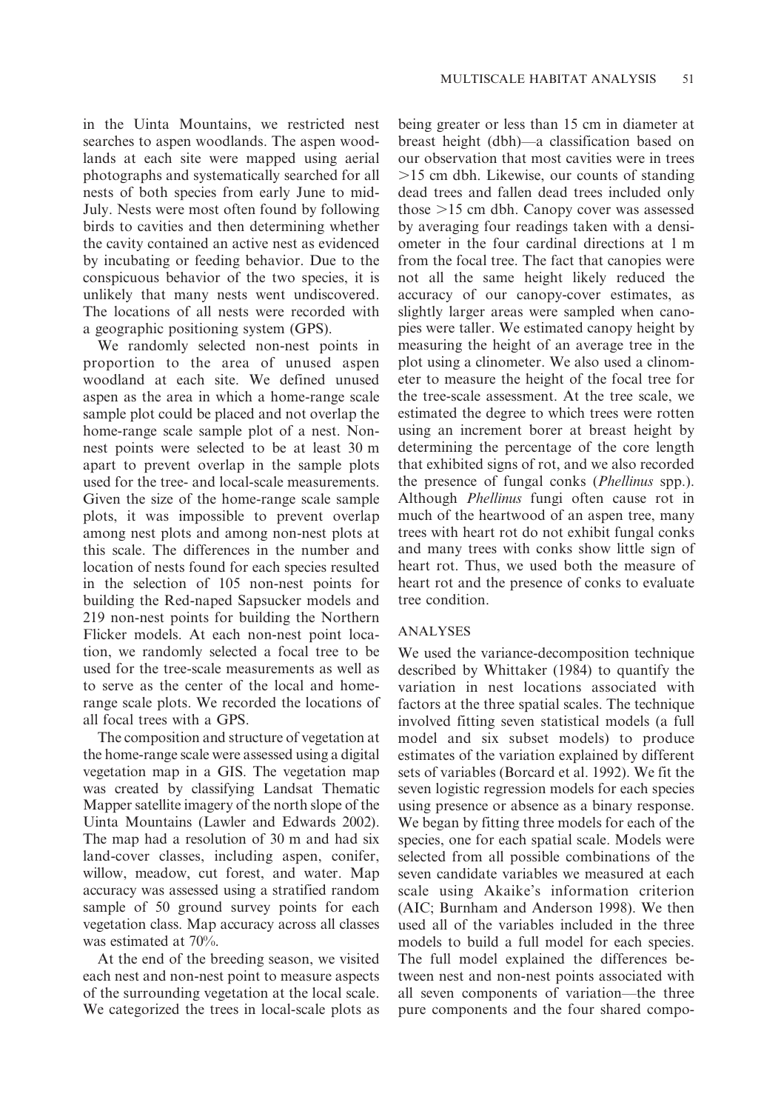in the Uinta Mountains, we restricted nest searches to aspen woodlands. The aspen woodlands at each site were mapped using aerial photographs and systematically searched for all nests of both species from early June to mid-July. Nests were most often found by following birds to cavities and then determining whether the cavity contained an active nest as evidenced by incubating or feeding behavior. Due to the conspicuous behavior of the two species, it is unlikely that many nests went undiscovered. The locations of all nests were recorded with a geographic positioning system (GPS).

We randomly selected non-nest points in proportion to the area of unused aspen woodland at each site. We defined unused aspen as the area in which a home-range scale sample plot could be placed and not overlap the home-range scale sample plot of a nest. Nonnest points were selected to be at least 30 m apart to prevent overlap in the sample plots used for the tree- and local-scale measurements. Given the size of the home-range scale sample plots, it was impossible to prevent overlap among nest plots and among non-nest plots at this scale. The differences in the number and location of nests found for each species resulted in the selection of 105 non-nest points for building the Red-naped Sapsucker models and 219 non-nest points for building the Northern Flicker models. At each non-nest point location, we randomly selected a focal tree to be used for the tree-scale measurements as well as to serve as the center of the local and homerange scale plots. We recorded the locations of all focal trees with a GPS.

The composition and structure of vegetation at the home-range scale were assessed using a digital vegetation map in a GIS. The vegetation map was created by classifying Landsat Thematic Mapper satellite imagery of the north slope of the Uinta Mountains (Lawler and Edwards 2002). The map had a resolution of 30 m and had six land-cover classes, including aspen, conifer, willow, meadow, cut forest, and water. Map accuracy was assessed using a stratified random sample of 50 ground survey points for each vegetation class. Map accuracy across all classes was estimated at 70%.

At the end of the breeding season, we visited each nest and non-nest point to measure aspects of the surrounding vegetation at the local scale. We categorized the trees in local-scale plots as

being greater or less than 15 cm in diameter at breast height (dbh)—a classification based on our observation that most cavities were in trees  $>15$  cm dbh. Likewise, our counts of standing dead trees and fallen dead trees included only those  $>15$  cm dbh. Canopy cover was assessed by averaging four readings taken with a densiometer in the four cardinal directions at 1 m from the focal tree. The fact that canopies were not all the same height likely reduced the accuracy of our canopy-cover estimates, as slightly larger areas were sampled when canopies were taller. We estimated canopy height by measuring the height of an average tree in the plot using a clinometer. We also used a clinometer to measure the height of the focal tree for the tree-scale assessment. At the tree scale, we estimated the degree to which trees were rotten using an increment borer at breast height by determining the percentage of the core length that exhibited signs of rot, and we also recorded the presence of fungal conks (Phellinus spp.). Although Phellinus fungi often cause rot in much of the heartwood of an aspen tree, many trees with heart rot do not exhibit fungal conks and many trees with conks show little sign of heart rot. Thus, we used both the measure of heart rot and the presence of conks to evaluate tree condition.

# ANALYSES

We used the variance-decomposition technique described by Whittaker (1984) to quantify the variation in nest locations associated with factors at the three spatial scales. The technique involved fitting seven statistical models (a full model and six subset models) to produce estimates of the variation explained by different sets of variables (Borcard et al. 1992). We fit the seven logistic regression models for each species using presence or absence as a binary response. We began by fitting three models for each of the species, one for each spatial scale. Models were selected from all possible combinations of the seven candidate variables we measured at each scale using Akaike's information criterion (AIC; Burnham and Anderson 1998). We then used all of the variables included in the three models to build a full model for each species. The full model explained the differences between nest and non-nest points associated with all seven components of variation—the three pure components and the four shared compo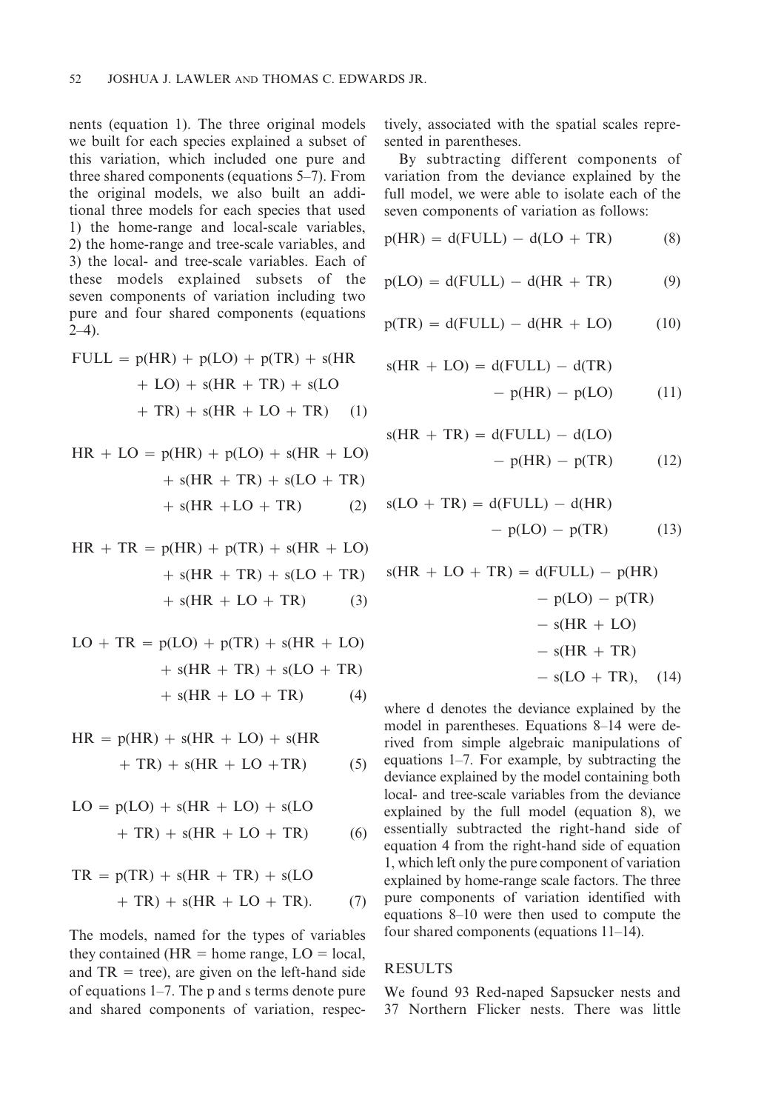nents (equation 1). The three original models we built for each species explained a subset of this variation, which included one pure and three shared components (equations 5–7). From the original models, we also built an additional three models for each species that used 1) the home-range and local-scale variables, 2) the home-range and tree-scale variables, and 3) the local- and tree-scale variables. Each of these models explained subsets of the seven components of variation including two pure and four shared components (equations  $2-4$ ).

$$
\text{FULL} = p(\text{HR}) + p(\text{LO}) + p(\text{TR}) + s(\text{HR} + \text{LO}) + s(\text{HR} + \text{TR}) + s(\text{LO} + \text{TR}) + s(\text{HR} + \text{LO} + \text{TR}) \quad (1)
$$

$$
HR + LO = p(HR) + p(LO) + s(HR + LO)
$$

$$
+ s(HR + TR) + s(LO + TR)
$$

$$
+ s(HR + LO + TR)
$$
(2)

$$
HR + TR = p(HR) + p(TR) + s(HR + LO)
$$

$$
+ s(HR + TR) + s(LO + TR)
$$

$$
+ s(HR + LO + TR) \qquad (3)
$$

$$
LO + TR = p(LO) + p(TR) + s(HR + LO)
$$

$$
+ s(HR + TR) + s(LO + TR)
$$

$$
+ s(HR + LO + TR) \qquad (4)
$$

$$
HR = p(HR) + s(HR + LO) + s(HR + TR) + s(HR + LO + TR)
$$
 (5)

$$
LO = p(LO) + s(HR + LO) + s(LO
$$

$$
+ TR) + s(HR + LO + TR)
$$
(6)

$$
TR = p(TR) + s(HR + TR) + s(LO
$$

$$
+ TR) + s(HR + LO + TR). \tag{7}
$$

The models, named for the types of variables they contained (HR  $=$  home range, LO  $=$  local, and  $TR = tree$ ), are given on the left-hand side of equations 1–7. The p and s terms denote pure and shared components of variation, respectively, associated with the spatial scales represented in parentheses.

By subtracting different components of variation from the deviance explained by the full model, we were able to isolate each of the seven components of variation as follows:

$$
p(HR) = d(FULL) - d(LO + TR)
$$
 (8)

$$
p(LO) = d( FULL) - d(HR + TR)
$$
 (9)

$$
p(TR) = d(FULL) - d(HR + LO)
$$
 (10)

$$
s(HR + LO) = d(FULL) - d(TR)
$$

$$
- p(HR) - p(LO)
$$
(11)

$$
s(HR + TR) = d(FULL) - d(LO)
$$

$$
- p(HR) - pTR)
$$
(12)

$$
s(LO + TR) = d(FULL) - d(HR)
$$

$$
- p(LO) - p(TR) \tag{13}
$$

$$
s(HR + LO + TR) = d(FULL) - p(HR)
$$

$$
- p(LO) - p(TR)
$$

$$
- s(HR + LO)
$$

$$
- s(HR + TR)
$$

$$
- s(LO + TR), (14)
$$

where d denotes the deviance explained by the model in parentheses. Equations 8–14 were derived from simple algebraic manipulations of equations 1–7. For example, by subtracting the deviance explained by the model containing both local- and tree-scale variables from the deviance explained by the full model (equation 8), we essentially subtracted the right-hand side of equation 4 from the right-hand side of equation 1, which left only the pure component of variation explained by home-range scale factors. The three pure components of variation identified with equations 8–10 were then used to compute the four shared components (equations 11–14).

### RESULTS

We found 93 Red-naped Sapsucker nests and 37 Northern Flicker nests. There was little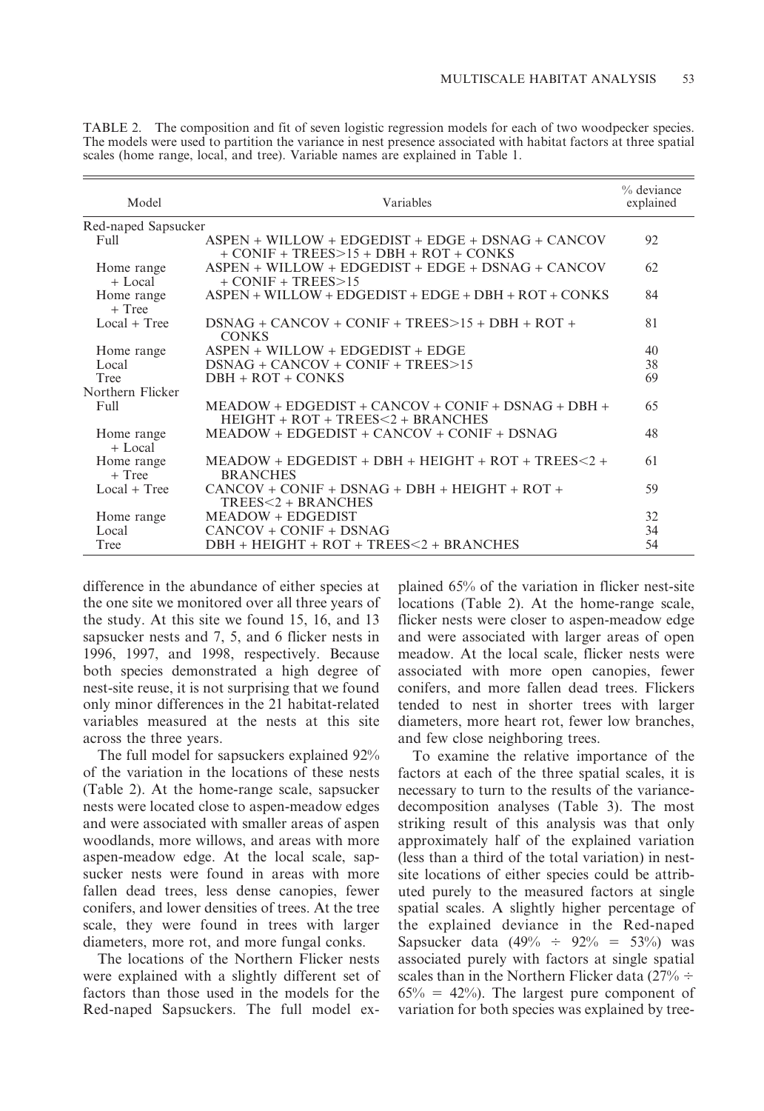| Model                   | Variables                                                                                           | % deviance<br>explained |
|-------------------------|-----------------------------------------------------------------------------------------------------|-------------------------|
| Red-naped Sapsucker     |                                                                                                     |                         |
| Full                    | $ASPEN + WILLOW + EDGEDIST + EDGE + DSNAG + CANCOV$<br>$+$ CONIF + TREES $>$ 15 + DBH + ROT + CONKS | 92                      |
| Home range<br>$+$ Local | $ASPEN + WILLOW + EDGEDIST + EDGE + DSNAG + CANCOV$<br>$+$ CONIF $+$ TREES $>15$                    | 62                      |
| Home range<br>$+$ Tree  | $ASPEN + WILLOW + EDGEDIST + EDGE + DBH + ROT + CONKS$                                              | 84                      |
| $Local + Tree$          | $DSNAG + CANCOV + CONIF + TREES > 15 + DBH + ROT +$<br><b>CONKS</b>                                 | 81                      |
| Home range              | $ASPEN + WILLOW + EDGEDIST + EDGE$                                                                  | 40                      |
| Local                   | $DSNAG + CANCOV + CONIF + TREES > 15$                                                               | 38                      |
| Tree                    | $DBH + ROT + CONKS$                                                                                 | 69                      |
| Northern Flicker        |                                                                                                     |                         |
| Full                    | $MEADOW + EDGEDIST + CANCOV + CONIF + DSNAG + DBH +$<br>$HEIGHT + ROT + TREES < 2 + BRANCHES$       | 65                      |
| Home range<br>$+$ Local | $MEADOW + EDGEDIST + CANCOV + CONIF + DSNAG$                                                        | 48                      |
| Home range<br>$+$ Tree  | $MEADOW + EDGEDIST + DBH + HEIGHT + ROT + TREES < 2 +$<br><b>BRANCHES</b>                           | 61                      |
| $Local + Tree$          | $CANCOV + CONIF + DSNAG + DBH + HEIGHT + ROT +$<br>$TREES < 2 + BRANCHES$                           | 59                      |
| Home range              | <b>MEADOW + EDGEDIST</b>                                                                            | 32                      |
| Local                   | $CANCOV + CONIF + DSNAG$                                                                            | 34                      |
| Tree                    | $DBH + HEIGHT + ROT + TREES < 2 + BRANCHES$                                                         | 54                      |

TABLE 2. The composition and fit of seven logistic regression models for each of two woodpecker species. The models were used to partition the variance in nest presence associated with habitat factors at three spatial scales (home range, local, and tree). Variable names are explained in Table 1.

difference in the abundance of either species at the one site we monitored over all three years of the study. At this site we found 15, 16, and 13 sapsucker nests and 7, 5, and 6 flicker nests in 1996, 1997, and 1998, respectively. Because both species demonstrated a high degree of nest-site reuse, it is not surprising that we found only minor differences in the 21 habitat-related variables measured at the nests at this site across the three years.

The full model for sapsuckers explained 92% of the variation in the locations of these nests (Table 2). At the home-range scale, sapsucker nests were located close to aspen-meadow edges and were associated with smaller areas of aspen woodlands, more willows, and areas with more aspen-meadow edge. At the local scale, sapsucker nests were found in areas with more fallen dead trees, less dense canopies, fewer conifers, and lower densities of trees. At the tree scale, they were found in trees with larger diameters, more rot, and more fungal conks.

The locations of the Northern Flicker nests were explained with a slightly different set of factors than those used in the models for the Red-naped Sapsuckers. The full model ex-

plained 65% of the variation in flicker nest-site locations (Table 2). At the home-range scale, flicker nests were closer to aspen-meadow edge and were associated with larger areas of open meadow. At the local scale, flicker nests were associated with more open canopies, fewer conifers, and more fallen dead trees. Flickers tended to nest in shorter trees with larger diameters, more heart rot, fewer low branches, and few close neighboring trees.

To examine the relative importance of the factors at each of the three spatial scales, it is necessary to turn to the results of the variancedecomposition analyses (Table 3). The most striking result of this analysis was that only approximately half of the explained variation (less than a third of the total variation) in nestsite locations of either species could be attributed purely to the measured factors at single spatial scales. A slightly higher percentage of the explained deviance in the Red-naped Sapsucker data (49%  $\div$  92% = 53%) was associated purely with factors at single spatial scales than in the Northern Flicker data ( $27\% \div$  $65\% = 42\%)$ . The largest pure component of variation for both species was explained by tree-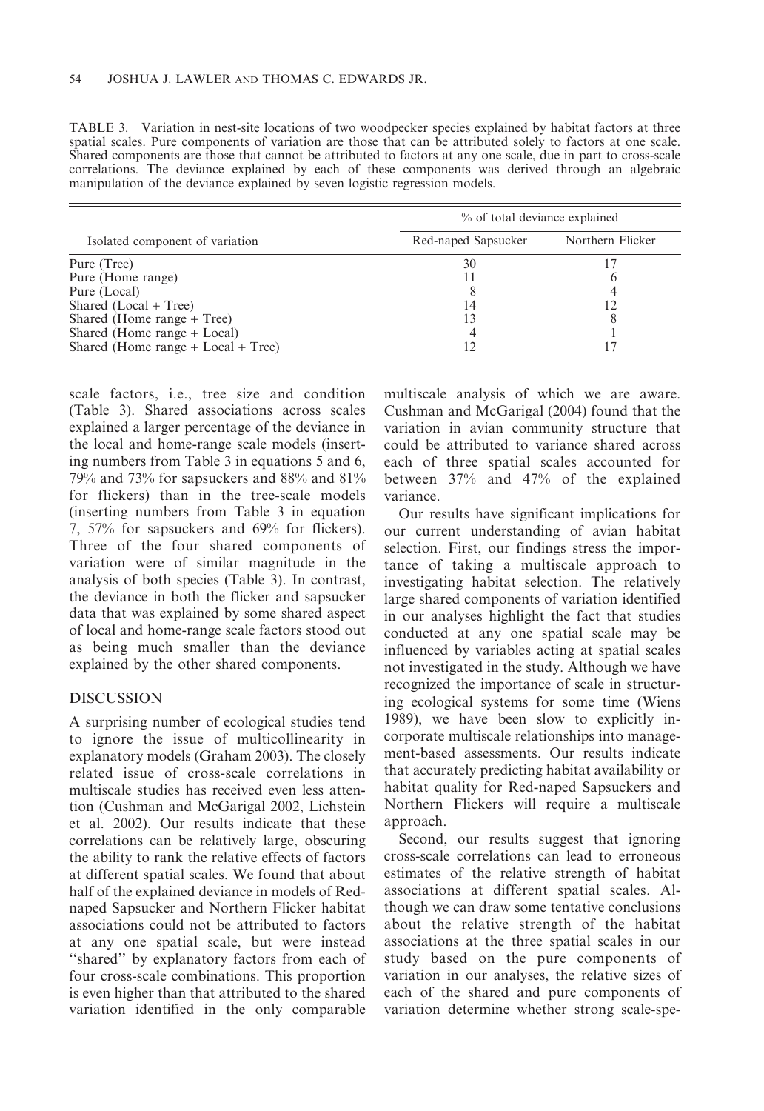TABLE 3. Variation in nest-site locations of two woodpecker species explained by habitat factors at three spatial scales. Pure components of variation are those that can be attributed solely to factors at one scale. Shared components are those that cannot be attributed to factors at any one scale, due in part to cross-scale correlations. The deviance explained by each of these components was derived through an algebraic manipulation of the deviance explained by seven logistic regression models.

|                                    | % of total deviance explained |                  |  |  |
|------------------------------------|-------------------------------|------------------|--|--|
| Isolated component of variation    | Red-naped Sapsucker           | Northern Flicker |  |  |
| Pure (Tree)                        | 30                            |                  |  |  |
| Pure (Home range)                  |                               |                  |  |  |
| Pure (Local)                       |                               |                  |  |  |
| Shared (Local + Tree)              | 14                            |                  |  |  |
| Shared (Home range + Tree)         | 13                            |                  |  |  |
| Shared (Home range + Local)        |                               |                  |  |  |
| Shared (Home range + Local + Tree) |                               |                  |  |  |

scale factors, i.e., tree size and condition (Table 3). Shared associations across scales explained a larger percentage of the deviance in the local and home-range scale models (inserting numbers from Table 3 in equations 5 and 6, 79% and 73% for sapsuckers and 88% and 81% for flickers) than in the tree-scale models (inserting numbers from Table 3 in equation 7, 57% for sapsuckers and 69% for flickers). Three of the four shared components of variation were of similar magnitude in the analysis of both species (Table 3). In contrast, the deviance in both the flicker and sapsucker data that was explained by some shared aspect of local and home-range scale factors stood out as being much smaller than the deviance explained by the other shared components.

# DISCUSSION

A surprising number of ecological studies tend to ignore the issue of multicollinearity in explanatory models (Graham 2003). The closely related issue of cross-scale correlations in multiscale studies has received even less attention (Cushman and McGarigal 2002, Lichstein et al. 2002). Our results indicate that these correlations can be relatively large, obscuring the ability to rank the relative effects of factors at different spatial scales. We found that about half of the explained deviance in models of Rednaped Sapsucker and Northern Flicker habitat associations could not be attributed to factors at any one spatial scale, but were instead ''shared'' by explanatory factors from each of four cross-scale combinations. This proportion is even higher than that attributed to the shared variation identified in the only comparable multiscale analysis of which we are aware. Cushman and McGarigal (2004) found that the variation in avian community structure that could be attributed to variance shared across each of three spatial scales accounted for between 37% and 47% of the explained variance.

Our results have significant implications for our current understanding of avian habitat selection. First, our findings stress the importance of taking a multiscale approach to investigating habitat selection. The relatively large shared components of variation identified in our analyses highlight the fact that studies conducted at any one spatial scale may be influenced by variables acting at spatial scales not investigated in the study. Although we have recognized the importance of scale in structuring ecological systems for some time (Wiens 1989), we have been slow to explicitly incorporate multiscale relationships into management-based assessments. Our results indicate that accurately predicting habitat availability or habitat quality for Red-naped Sapsuckers and Northern Flickers will require a multiscale approach.

Second, our results suggest that ignoring cross-scale correlations can lead to erroneous estimates of the relative strength of habitat associations at different spatial scales. Although we can draw some tentative conclusions about the relative strength of the habitat associations at the three spatial scales in our study based on the pure components of variation in our analyses, the relative sizes of each of the shared and pure components of variation determine whether strong scale-spe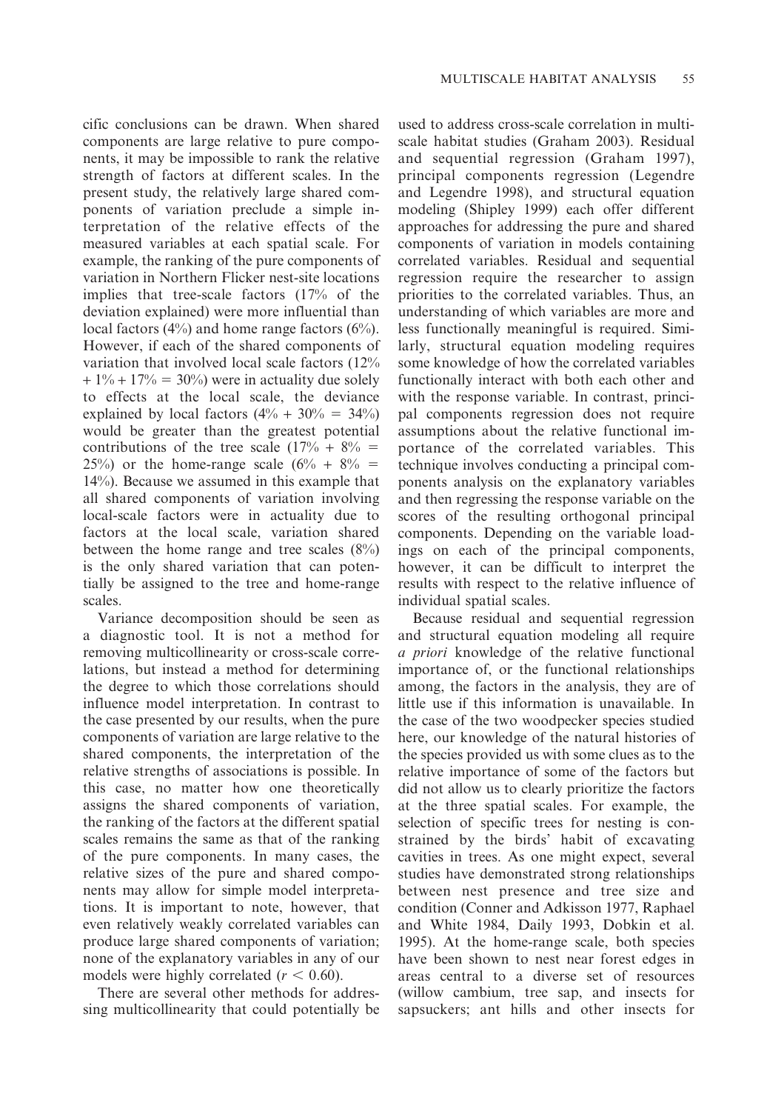cific conclusions can be drawn. When shared components are large relative to pure components, it may be impossible to rank the relative strength of factors at different scales. In the present study, the relatively large shared components of variation preclude a simple interpretation of the relative effects of the measured variables at each spatial scale. For example, the ranking of the pure components of variation in Northern Flicker nest-site locations implies that tree-scale factors (17% of the deviation explained) were more influential than local factors (4%) and home range factors (6%). However, if each of the shared components of variation that involved local scale factors (12%  $+ 1\% + 17\% = 30\%$  were in actuality due solely to effects at the local scale, the deviance explained by local factors  $(4\% + 30\% = 34\%)$ would be greater than the greatest potential contributions of the tree scale  $(17% + 8% =$ 25%) or the home-range scale  $(6\% + 8\% =$ 14%). Because we assumed in this example that all shared components of variation involving local-scale factors were in actuality due to factors at the local scale, variation shared between the home range and tree scales  $(8\%)$ is the only shared variation that can potentially be assigned to the tree and home-range scales.

Variance decomposition should be seen as a diagnostic tool. It is not a method for removing multicollinearity or cross-scale correlations, but instead a method for determining the degree to which those correlations should influence model interpretation. In contrast to the case presented by our results, when the pure components of variation are large relative to the shared components, the interpretation of the relative strengths of associations is possible. In this case, no matter how one theoretically assigns the shared components of variation, the ranking of the factors at the different spatial scales remains the same as that of the ranking of the pure components. In many cases, the relative sizes of the pure and shared components may allow for simple model interpretations. It is important to note, however, that even relatively weakly correlated variables can produce large shared components of variation; none of the explanatory variables in any of our models were highly correlated ( $r < 0.60$ ).

There are several other methods for addressing multicollinearity that could potentially be

used to address cross-scale correlation in multiscale habitat studies (Graham 2003). Residual and sequential regression (Graham 1997), principal components regression (Legendre and Legendre 1998), and structural equation modeling (Shipley 1999) each offer different approaches for addressing the pure and shared components of variation in models containing correlated variables. Residual and sequential regression require the researcher to assign priorities to the correlated variables. Thus, an understanding of which variables are more and less functionally meaningful is required. Similarly, structural equation modeling requires some knowledge of how the correlated variables functionally interact with both each other and with the response variable. In contrast, principal components regression does not require assumptions about the relative functional importance of the correlated variables. This technique involves conducting a principal components analysis on the explanatory variables and then regressing the response variable on the scores of the resulting orthogonal principal components. Depending on the variable loadings on each of the principal components, however, it can be difficult to interpret the results with respect to the relative influence of individual spatial scales.

Because residual and sequential regression and structural equation modeling all require a priori knowledge of the relative functional importance of, or the functional relationships among, the factors in the analysis, they are of little use if this information is unavailable. In the case of the two woodpecker species studied here, our knowledge of the natural histories of the species provided us with some clues as to the relative importance of some of the factors but did not allow us to clearly prioritize the factors at the three spatial scales. For example, the selection of specific trees for nesting is constrained by the birds' habit of excavating cavities in trees. As one might expect, several studies have demonstrated strong relationships between nest presence and tree size and condition (Conner and Adkisson 1977, Raphael and White 1984, Daily 1993, Dobkin et al. 1995). At the home-range scale, both species have been shown to nest near forest edges in areas central to a diverse set of resources (willow cambium, tree sap, and insects for sapsuckers; ant hills and other insects for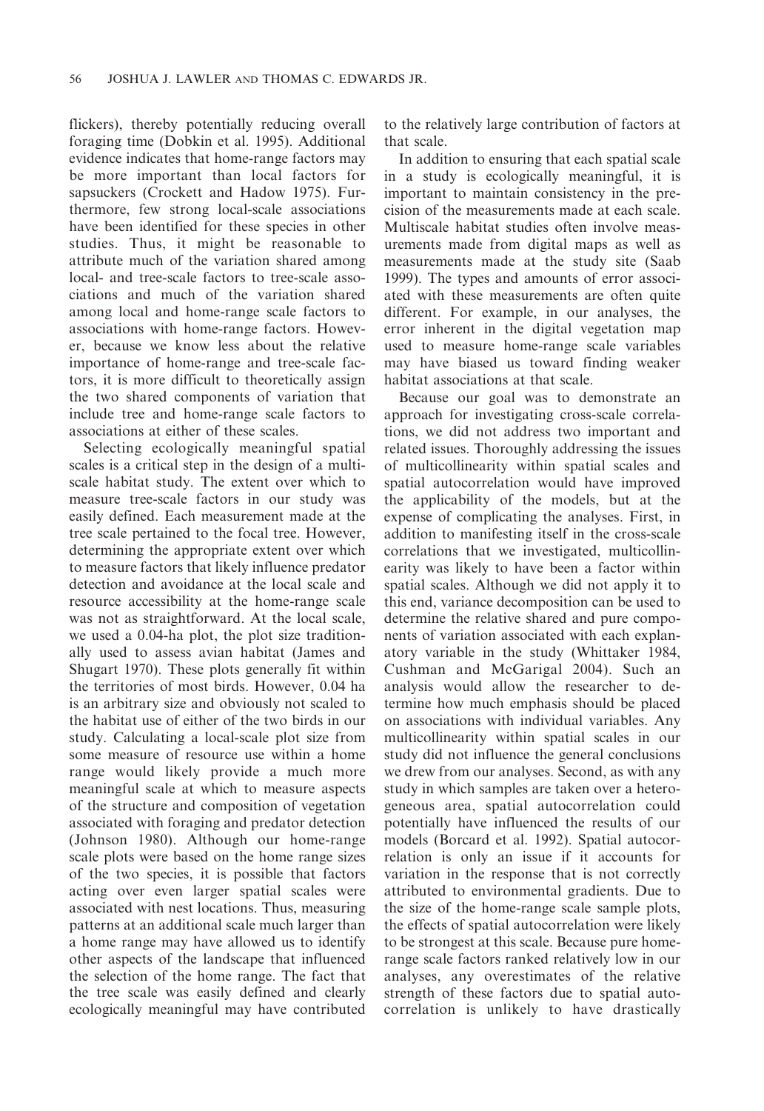flickers), thereby potentially reducing overall foraging time (Dobkin et al. 1995). Additional evidence indicates that home-range factors may be more important than local factors for sapsuckers (Crockett and Hadow 1975). Furthermore, few strong local-scale associations have been identified for these species in other studies. Thus, it might be reasonable to attribute much of the variation shared among local- and tree-scale factors to tree-scale associations and much of the variation shared among local and home-range scale factors to associations with home-range factors. However, because we know less about the relative importance of home-range and tree-scale factors, it is more difficult to theoretically assign the two shared components of variation that include tree and home-range scale factors to associations at either of these scales.

Selecting ecologically meaningful spatial scales is a critical step in the design of a multiscale habitat study. The extent over which to measure tree-scale factors in our study was easily defined. Each measurement made at the tree scale pertained to the focal tree. However, determining the appropriate extent over which to measure factors that likely influence predator detection and avoidance at the local scale and resource accessibility at the home-range scale was not as straightforward. At the local scale, we used a 0.04-ha plot, the plot size traditionally used to assess avian habitat (James and Shugart 1970). These plots generally fit within the territories of most birds. However, 0.04 ha is an arbitrary size and obviously not scaled to the habitat use of either of the two birds in our study. Calculating a local-scale plot size from some measure of resource use within a home range would likely provide a much more meaningful scale at which to measure aspects of the structure and composition of vegetation associated with foraging and predator detection (Johnson 1980). Although our home-range scale plots were based on the home range sizes of the two species, it is possible that factors acting over even larger spatial scales were associated with nest locations. Thus, measuring patterns at an additional scale much larger than a home range may have allowed us to identify other aspects of the landscape that influenced the selection of the home range. The fact that the tree scale was easily defined and clearly ecologically meaningful may have contributed to the relatively large contribution of factors at that scale.

In addition to ensuring that each spatial scale in a study is ecologically meaningful, it is important to maintain consistency in the precision of the measurements made at each scale. Multiscale habitat studies often involve measurements made from digital maps as well as measurements made at the study site (Saab 1999). The types and amounts of error associated with these measurements are often quite different. For example, in our analyses, the error inherent in the digital vegetation map used to measure home-range scale variables may have biased us toward finding weaker habitat associations at that scale.

Because our goal was to demonstrate an approach for investigating cross-scale correlations, we did not address two important and related issues. Thoroughly addressing the issues of multicollinearity within spatial scales and spatial autocorrelation would have improved the applicability of the models, but at the expense of complicating the analyses. First, in addition to manifesting itself in the cross-scale correlations that we investigated, multicollinearity was likely to have been a factor within spatial scales. Although we did not apply it to this end, variance decomposition can be used to determine the relative shared and pure components of variation associated with each explanatory variable in the study (Whittaker 1984, Cushman and McGarigal 2004). Such an analysis would allow the researcher to determine how much emphasis should be placed on associations with individual variables. Any multicollinearity within spatial scales in our study did not influence the general conclusions we drew from our analyses. Second, as with any study in which samples are taken over a heterogeneous area, spatial autocorrelation could potentially have influenced the results of our models (Borcard et al. 1992). Spatial autocorrelation is only an issue if it accounts for variation in the response that is not correctly attributed to environmental gradients. Due to the size of the home-range scale sample plots, the effects of spatial autocorrelation were likely to be strongest at this scale. Because pure homerange scale factors ranked relatively low in our analyses, any overestimates of the relative strength of these factors due to spatial autocorrelation is unlikely to have drastically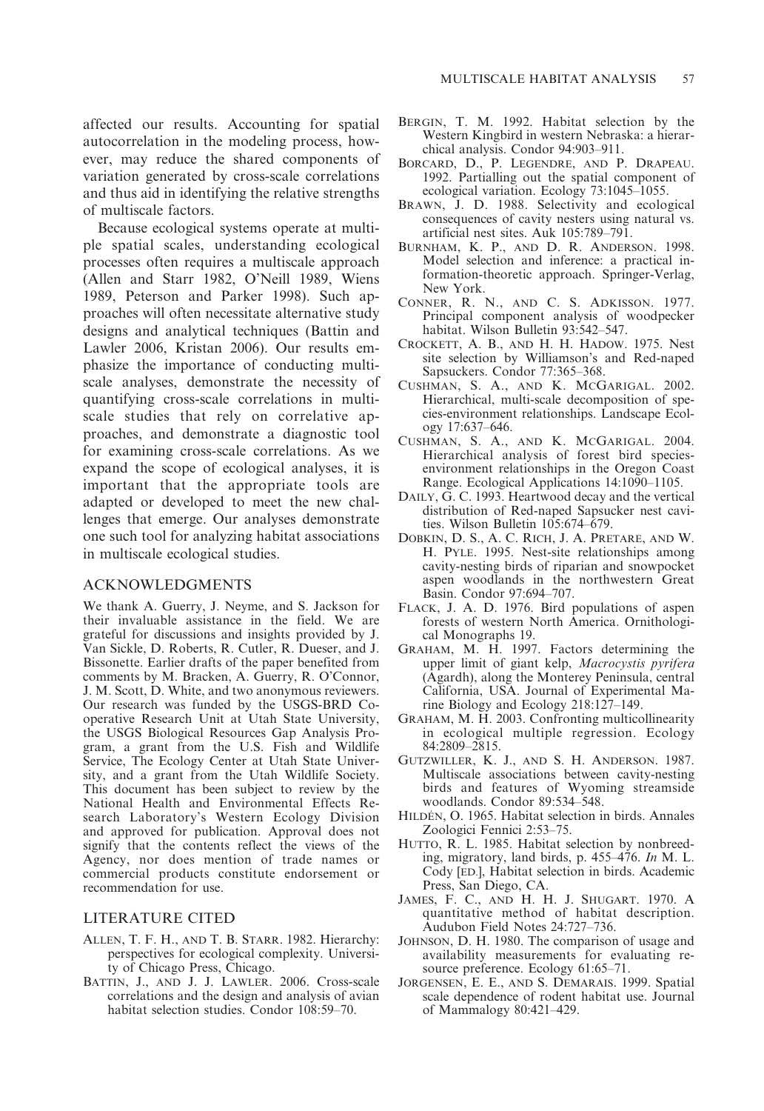affected our results. Accounting for spatial autocorrelation in the modeling process, however, may reduce the shared components of variation generated by cross-scale correlations and thus aid in identifying the relative strengths of multiscale factors.

Because ecological systems operate at multiple spatial scales, understanding ecological processes often requires a multiscale approach (Allen and Starr 1982, O'Neill 1989, Wiens 1989, Peterson and Parker 1998). Such approaches will often necessitate alternative study designs and analytical techniques (Battin and Lawler 2006, Kristan 2006). Our results emphasize the importance of conducting multiscale analyses, demonstrate the necessity of quantifying cross-scale correlations in multiscale studies that rely on correlative approaches, and demonstrate a diagnostic tool for examining cross-scale correlations. As we expand the scope of ecological analyses, it is important that the appropriate tools are adapted or developed to meet the new challenges that emerge. Our analyses demonstrate one such tool for analyzing habitat associations in multiscale ecological studies.

#### ACKNOWLEDGMENTS

We thank A. Guerry, J. Neyme, and S. Jackson for their invaluable assistance in the field. We are grateful for discussions and insights provided by J. Van Sickle, D. Roberts, R. Cutler, R. Dueser, and J. Bissonette. Earlier drafts of the paper benefited from comments by M. Bracken, A. Guerry, R. O'Connor, J. M. Scott, D. White, and two anonymous reviewers. Our research was funded by the USGS-BRD Cooperative Research Unit at Utah State University, the USGS Biological Resources Gap Analysis Program, a grant from the U.S. Fish and Wildlife Service, The Ecology Center at Utah State University, and a grant from the Utah Wildlife Society. This document has been subject to review by the National Health and Environmental Effects Research Laboratory's Western Ecology Division and approved for publication. Approval does not signify that the contents reflect the views of the Agency, nor does mention of trade names or commercial products constitute endorsement or recommendation for use.

# LITERATURE CITED

- ALLEN, T. F. H., AND T. B. STARR. 1982. Hierarchy: perspectives for ecological complexity. University of Chicago Press, Chicago.
- BATTIN, J., AND J. J. LAWLER. 2006. Cross-scale correlations and the design and analysis of avian habitat selection studies. Condor 108:59–70.
- BERGIN, T. M. 1992. Habitat selection by the Western Kingbird in western Nebraska: a hierarchical analysis. Condor 94:903–911.
- BORCARD, D., P. LEGENDRE, AND P. DRAPEAU. 1992. Partialling out the spatial component of ecological variation. Ecology 73:1045–1055.
- BRAWN, J. D. 1988. Selectivity and ecological consequences of cavity nesters using natural vs. artificial nest sites. Auk 105:789–791.
- BURNHAM, K. P., AND D. R. ANDERSON. 1998. Model selection and inference: a practical information-theoretic approach. Springer-Verlag, New York.
- CONNER, R. N., AND C. S. ADKISSON. 1977. Principal component analysis of woodpecker habitat. Wilson Bulletin 93:542–547.
- CROCKETT, A. B., AND H. H. HADOW. 1975. Nest site selection by Williamson's and Red-naped Sapsuckers. Condor 77:365–368.
- CUSHMAN, S. A., AND K. MCGARIGAL. 2002. Hierarchical, multi-scale decomposition of species-environment relationships. Landscape Ecology 17:637–646.
- CUSHMAN, S. A., AND K. MCGARIGAL. 2004. Hierarchical analysis of forest bird speciesenvironment relationships in the Oregon Coast Range. Ecological Applications 14:1090–1105.
- DAILY, G. C. 1993. Heartwood decay and the vertical distribution of Red-naped Sapsucker nest cavities. Wilson Bulletin 105:674–679.
- DOBKIN, D. S., A. C. RICH, J. A. PRETARE, AND W. H. PYLE. 1995. Nest-site relationships among cavity-nesting birds of riparian and snowpocket aspen woodlands in the northwestern Great Basin. Condor 97:694–707.
- FLACK, J. A. D. 1976. Bird populations of aspen forests of western North America. Ornithological Monographs 19.
- GRAHAM, M. H. 1997. Factors determining the upper limit of giant kelp, Macrocystis pyrifera (Agardh), along the Monterey Peninsula, central California, USA. Journal of Experimental Marine Biology and Ecology 218:127–149.
- GRAHAM, M. H. 2003. Confronting multicollinearity in ecological multiple regression. Ecology 84:2809–2815.
- GUTZWILLER, K. J., AND S. H. ANDERSON. 1987. Multiscale associations between cavity-nesting birds and features of Wyoming streamside woodlands. Condor 89:534–548.
- HILDÉN, O. 1965. Habitat selection in birds. Annales Zoologici Fennici 2:53–75.
- HUTTO, R. L. 1985. Habitat selection by nonbreeding, migratory, land birds, p. 455–476. In M. L. Cody [ED.], Habitat selection in birds. Academic Press, San Diego, CA.
- JAMES, F. C., AND H. H. J. SHUGART. 1970. A quantitative method of habitat description. Audubon Field Notes 24:727–736.
- JOHNSON, D. H. 1980. The comparison of usage and availability measurements for evaluating resource preference. Ecology 61:65–71.
- JORGENSEN, E. E., AND S. DEMARAIS. 1999. Spatial scale dependence of rodent habitat use. Journal of Mammalogy 80:421–429.